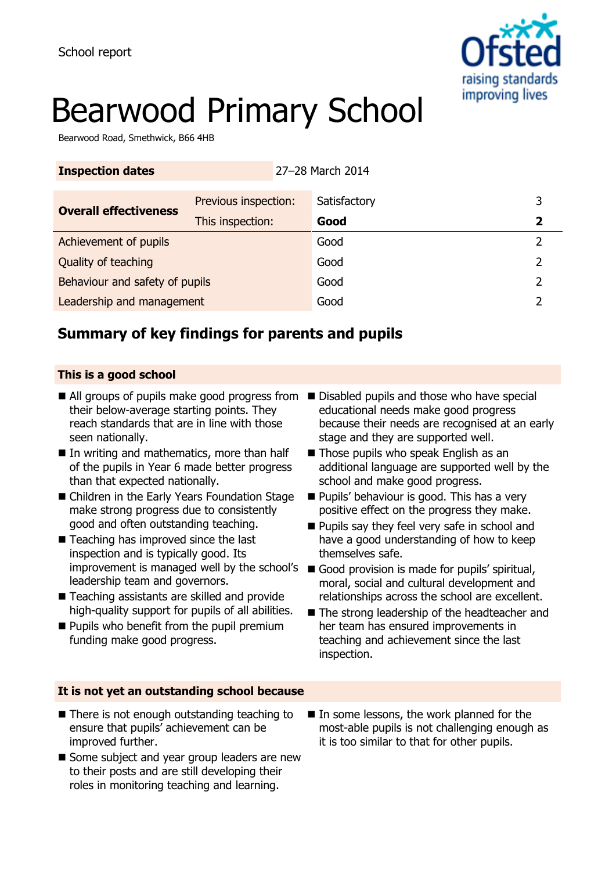

# Bearwood Primary School

Bearwood Road, Smethwick, B66 4HB

| <b>Inspection dates</b>        |                      | 27-28 March 2014 |              |   |   |
|--------------------------------|----------------------|------------------|--------------|---|---|
| <b>Overall effectiveness</b>   | Previous inspection: |                  | Satisfactory |   | 3 |
|                                | This inspection:     |                  | Good         |   | 2 |
| Achievement of pupils          |                      | Good             |              | 7 |   |
| Quality of teaching            |                      | Good             |              | 2 |   |
| Behaviour and safety of pupils |                      |                  | Good         |   | っ |
| Leadership and management      |                      | Good             |              |   |   |

## **Summary of key findings for parents and pupils**

### **This is a good school**

- All groups of pupils make good progress from Disabled pupils and those who have special their below-average starting points. They reach standards that are in line with those seen nationally.
- In writing and mathematics, more than half of the pupils in Year 6 made better progress than that expected nationally.
- Children in the Early Years Foundation Stage make strong progress due to consistently good and often outstanding teaching.
- Teaching has improved since the last inspection and is typically good. Its leadership team and governors.
- Teaching assistants are skilled and provide high-quality support for pupils of all abilities.
- **Pupils who benefit from the pupil premium** funding make good progress.
- educational needs make good progress because their needs are recognised at an early stage and they are supported well.
- Those pupils who speak English as an additional language are supported well by the school and make good progress.
- **Pupils' behaviour is good. This has a very** positive effect on the progress they make.
- **Pupils say they feel very safe in school and** have a good understanding of how to keep themselves safe.
- improvement is managed well by the school's Good provision is made for pupils' spiritual, moral, social and cultural development and relationships across the school are excellent.
	- The strong leadership of the headteacher and her team has ensured improvements in teaching and achievement since the last inspection.

### **It is not yet an outstanding school because**

- There is not enough outstanding teaching to ensure that pupils' achievement can be improved further.
- Some subject and year group leaders are new to their posts and are still developing their roles in monitoring teaching and learning.
- In some lessons, the work planned for the most-able pupils is not challenging enough as it is too similar to that for other pupils.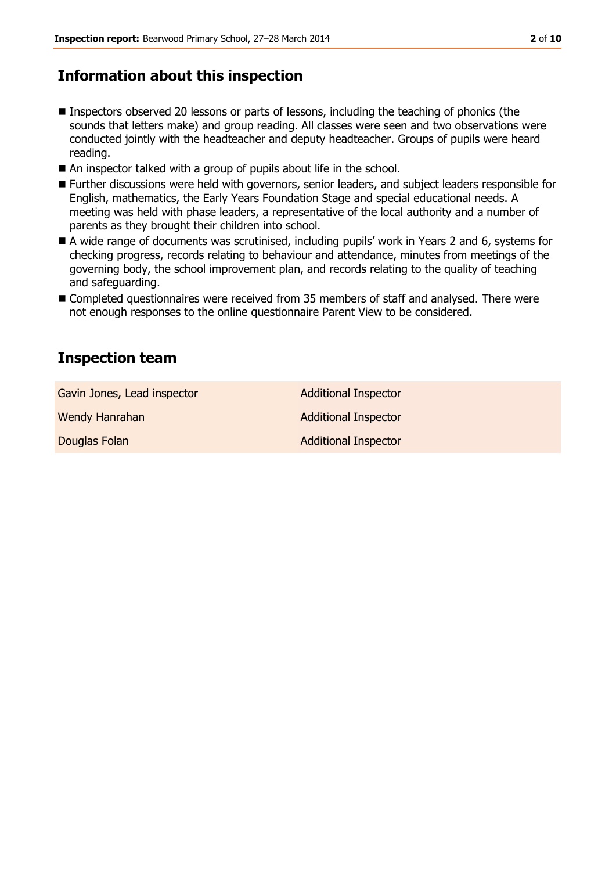## **Information about this inspection**

- Inspectors observed 20 lessons or parts of lessons, including the teaching of phonics (the sounds that letters make) and group reading. All classes were seen and two observations were conducted jointly with the headteacher and deputy headteacher. Groups of pupils were heard reading.
- An inspector talked with a group of pupils about life in the school.
- Further discussions were held with governors, senior leaders, and subject leaders responsible for English, mathematics, the Early Years Foundation Stage and special educational needs. A meeting was held with phase leaders, a representative of the local authority and a number of parents as they brought their children into school.
- A wide range of documents was scrutinised, including pupils' work in Years 2 and 6, systems for checking progress, records relating to behaviour and attendance, minutes from meetings of the governing body, the school improvement plan, and records relating to the quality of teaching and safeguarding.
- Completed questionnaires were received from 35 members of staff and analysed. There were not enough responses to the online questionnaire Parent View to be considered.

## **Inspection team**

Gavin Jones, Lead inspector **Additional Inspector** Additional Inspector Wendy Hanrahan Additional Inspector

**Douglas Folan Additional Inspector**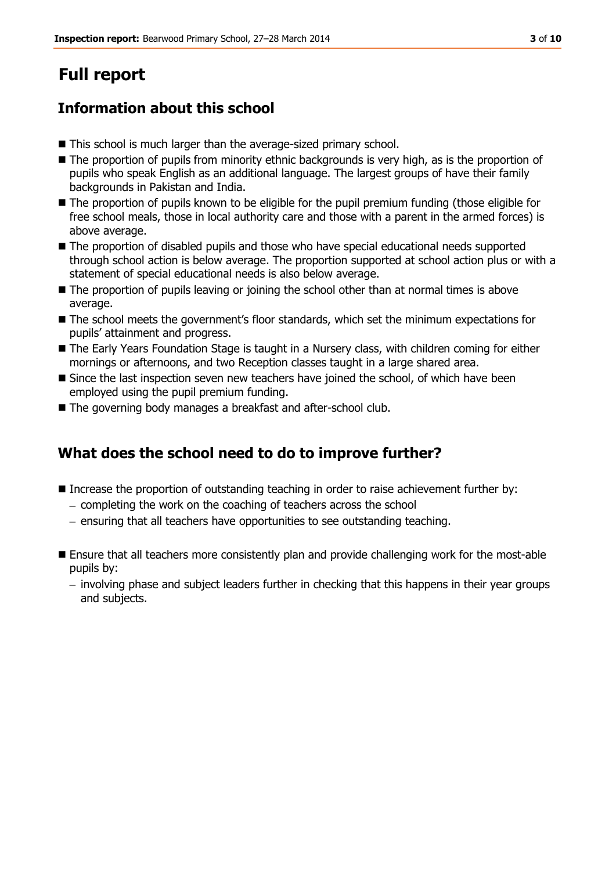# **Full report**

## **Information about this school**

- This school is much larger than the average-sized primary school.
- The proportion of pupils from minority ethnic backgrounds is very high, as is the proportion of pupils who speak English as an additional language. The largest groups of have their family backgrounds in Pakistan and India.
- $\blacksquare$  The proportion of pupils known to be eligible for the pupil premium funding (those eligible for free school meals, those in local authority care and those with a parent in the armed forces) is above average.
- The proportion of disabled pupils and those who have special educational needs supported through school action is below average. The proportion supported at school action plus or with a statement of special educational needs is also below average.
- $\blacksquare$  The proportion of pupils leaving or joining the school other than at normal times is above average.
- $\blacksquare$  The school meets the government's floor standards, which set the minimum expectations for pupils' attainment and progress.
- The Early Years Foundation Stage is taught in a Nursery class, with children coming for either mornings or afternoons, and two Reception classes taught in a large shared area.
- Since the last inspection seven new teachers have joined the school, of which have been employed using the pupil premium funding.
- The governing body manages a breakfast and after-school club.

## **What does the school need to do to improve further?**

- Increase the proportion of outstanding teaching in order to raise achievement further by:
	- $-$  completing the work on the coaching of teachers across the school
	- ensuring that all teachers have opportunities to see outstanding teaching.
- **Ensure that all teachers more consistently plan and provide challenging work for the most-able** pupils by:
	- $-$  involving phase and subject leaders further in checking that this happens in their year groups and subjects.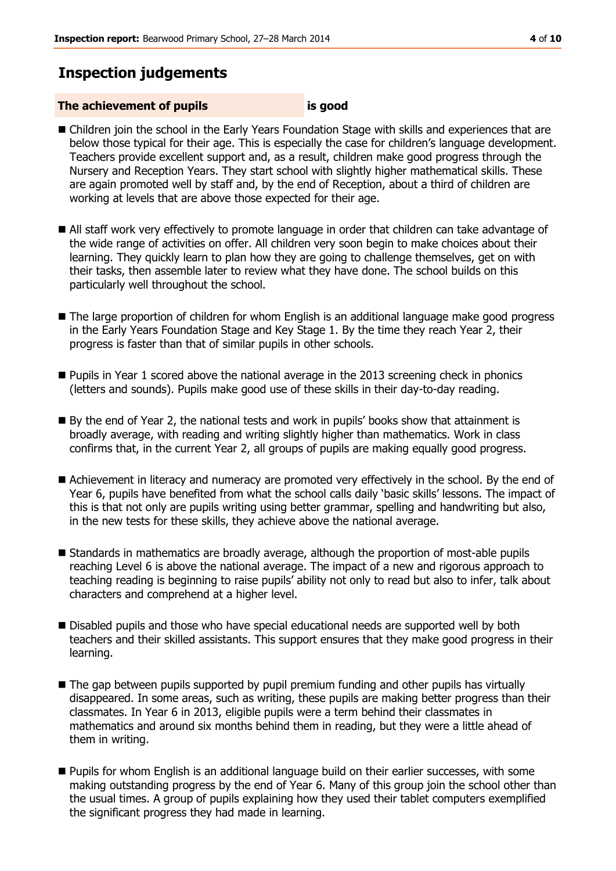## **Inspection judgements**

### **The achievement of pupils is good**

- Children join the school in the Early Years Foundation Stage with skills and experiences that are below those typical for their age. This is especially the case for children's language development. Teachers provide excellent support and, as a result, children make good progress through the Nursery and Reception Years. They start school with slightly higher mathematical skills. These are again promoted well by staff and, by the end of Reception, about a third of children are working at levels that are above those expected for their age.
- All staff work very effectively to promote language in order that children can take advantage of the wide range of activities on offer. All children very soon begin to make choices about their learning. They quickly learn to plan how they are going to challenge themselves, get on with their tasks, then assemble later to review what they have done. The school builds on this particularly well throughout the school.
- **The large proportion of children for whom English is an additional language make good progress** in the Early Years Foundation Stage and Key Stage 1. By the time they reach Year 2, their progress is faster than that of similar pupils in other schools.
- **Pupils in Year 1 scored above the national average in the 2013 screening check in phonics** (letters and sounds). Pupils make good use of these skills in their day-to-day reading.
- By the end of Year 2, the national tests and work in pupils' books show that attainment is broadly average, with reading and writing slightly higher than mathematics. Work in class confirms that, in the current Year 2, all groups of pupils are making equally good progress.
- Achievement in literacy and numeracy are promoted very effectively in the school. By the end of Year 6, pupils have benefited from what the school calls daily 'basic skills' lessons. The impact of this is that not only are pupils writing using better grammar, spelling and handwriting but also, in the new tests for these skills, they achieve above the national average.
- Standards in mathematics are broadly average, although the proportion of most-able pupils reaching Level 6 is above the national average. The impact of a new and rigorous approach to teaching reading is beginning to raise pupils' ability not only to read but also to infer, talk about characters and comprehend at a higher level.
- Disabled pupils and those who have special educational needs are supported well by both teachers and their skilled assistants. This support ensures that they make good progress in their learning.
- $\blacksquare$  The gap between pupils supported by pupil premium funding and other pupils has virtually disappeared. In some areas, such as writing, these pupils are making better progress than their classmates. In Year 6 in 2013, eligible pupils were a term behind their classmates in mathematics and around six months behind them in reading, but they were a little ahead of them in writing.
- Pupils for whom English is an additional language build on their earlier successes, with some making outstanding progress by the end of Year 6. Many of this group join the school other than the usual times. A group of pupils explaining how they used their tablet computers exemplified the significant progress they had made in learning.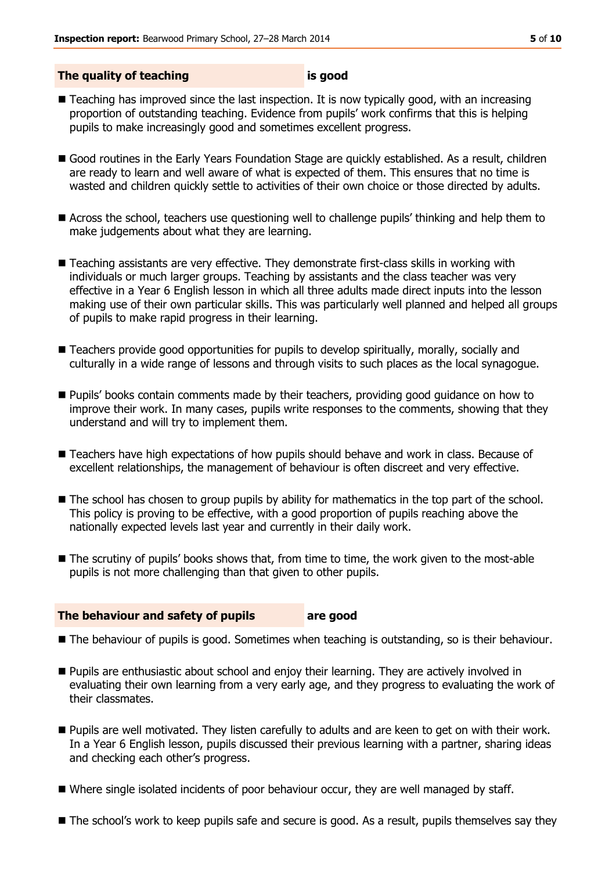#### **The quality of teaching is good**

- Teaching has improved since the last inspection. It is now typically good, with an increasing proportion of outstanding teaching. Evidence from pupils' work confirms that this is helping pupils to make increasingly good and sometimes excellent progress.
- Good routines in the Early Years Foundation Stage are quickly established. As a result, children are ready to learn and well aware of what is expected of them. This ensures that no time is wasted and children quickly settle to activities of their own choice or those directed by adults.
- Across the school, teachers use questioning well to challenge pupils' thinking and help them to make judgements about what they are learning.
- Teaching assistants are very effective. They demonstrate first-class skills in working with individuals or much larger groups. Teaching by assistants and the class teacher was very effective in a Year 6 English lesson in which all three adults made direct inputs into the lesson making use of their own particular skills. This was particularly well planned and helped all groups of pupils to make rapid progress in their learning.
- Teachers provide good opportunities for pupils to develop spiritually, morally, socially and culturally in a wide range of lessons and through visits to such places as the local synagogue.
- **Pupils' books contain comments made by their teachers, providing good guidance on how to** improve their work. In many cases, pupils write responses to the comments, showing that they understand and will try to implement them.
- Teachers have high expectations of how pupils should behave and work in class. Because of excellent relationships, the management of behaviour is often discreet and very effective.
- The school has chosen to group pupils by ability for mathematics in the top part of the school. This policy is proving to be effective, with a good proportion of pupils reaching above the nationally expected levels last year and currently in their daily work.
- The scrutiny of pupils' books shows that, from time to time, the work given to the most-able pupils is not more challenging than that given to other pupils.

#### **The behaviour and safety of pupils are good**

- **The behaviour of pupils is good. Sometimes when teaching is outstanding, so is their behaviour.**
- **Pupils are enthusiastic about school and enjoy their learning. They are actively involved in** evaluating their own learning from a very early age, and they progress to evaluating the work of their classmates.
- Pupils are well motivated. They listen carefully to adults and are keen to get on with their work. In a Year 6 English lesson, pupils discussed their previous learning with a partner, sharing ideas and checking each other's progress.
- Where single isolated incidents of poor behaviour occur, they are well managed by staff.
- The school's work to keep pupils safe and secure is good. As a result, pupils themselves say they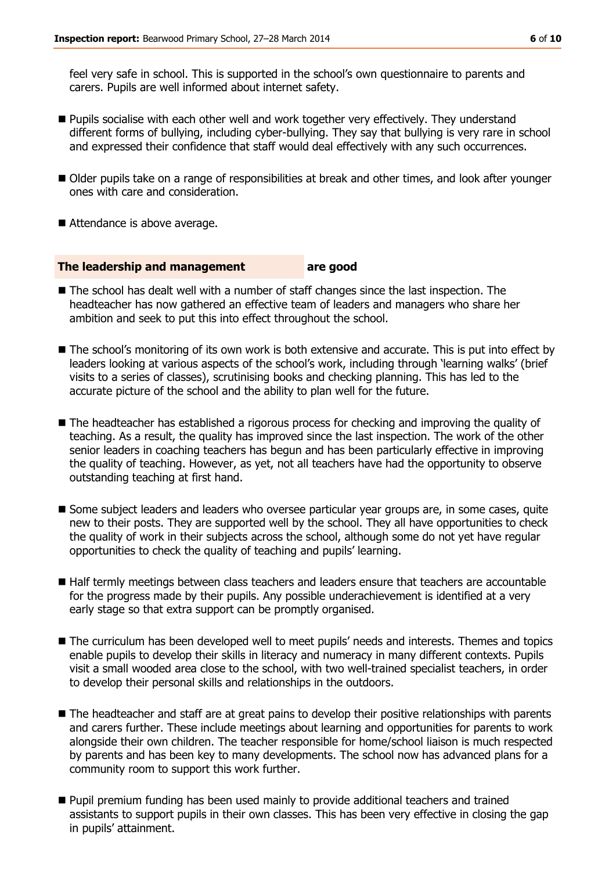feel very safe in school. This is supported in the school's own questionnaire to parents and carers. Pupils are well informed about internet safety.

- **Pupils socialise with each other well and work together very effectively. They understand** different forms of bullying, including cyber-bullying. They say that bullying is very rare in school and expressed their confidence that staff would deal effectively with any such occurrences.
- Older pupils take on a range of responsibilities at break and other times, and look after younger ones with care and consideration.
- Attendance is above average.

#### **The leadership and management are good**

- The school has dealt well with a number of staff changes since the last inspection. The headteacher has now gathered an effective team of leaders and managers who share her ambition and seek to put this into effect throughout the school.
- The school's monitoring of its own work is both extensive and accurate. This is put into effect by leaders looking at various aspects of the school's work, including through 'learning walks' (brief visits to a series of classes), scrutinising books and checking planning. This has led to the accurate picture of the school and the ability to plan well for the future.
- The headteacher has established a rigorous process for checking and improving the quality of teaching. As a result, the quality has improved since the last inspection. The work of the other senior leaders in coaching teachers has begun and has been particularly effective in improving the quality of teaching. However, as yet, not all teachers have had the opportunity to observe outstanding teaching at first hand.
- Some subject leaders and leaders who oversee particular year groups are, in some cases, quite new to their posts. They are supported well by the school. They all have opportunities to check the quality of work in their subjects across the school, although some do not yet have regular opportunities to check the quality of teaching and pupils' learning.
- Half termly meetings between class teachers and leaders ensure that teachers are accountable for the progress made by their pupils. Any possible underachievement is identified at a very early stage so that extra support can be promptly organised.
- The curriculum has been developed well to meet pupils' needs and interests. Themes and topics enable pupils to develop their skills in literacy and numeracy in many different contexts. Pupils visit a small wooded area close to the school, with two well-trained specialist teachers, in order to develop their personal skills and relationships in the outdoors.
- $\blacksquare$  The headteacher and staff are at great pains to develop their positive relationships with parents and carers further. These include meetings about learning and opportunities for parents to work alongside their own children. The teacher responsible for home/school liaison is much respected by parents and has been key to many developments. The school now has advanced plans for a community room to support this work further.
- **Pupil premium funding has been used mainly to provide additional teachers and trained** assistants to support pupils in their own classes. This has been very effective in closing the gap in pupils' attainment.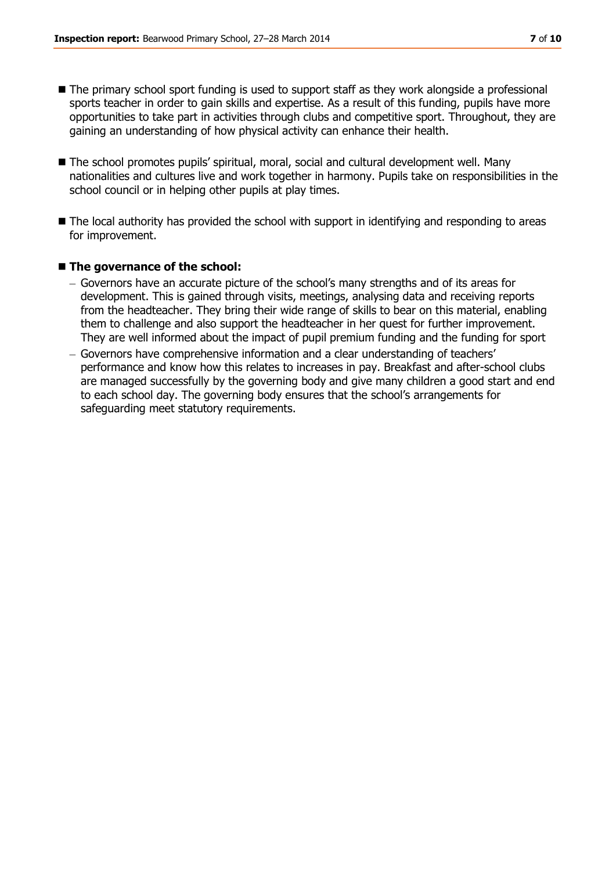- The primary school sport funding is used to support staff as they work alongside a professional sports teacher in order to gain skills and expertise. As a result of this funding, pupils have more opportunities to take part in activities through clubs and competitive sport. Throughout, they are gaining an understanding of how physical activity can enhance their health.
- The school promotes pupils' spiritual, moral, social and cultural development well. Many nationalities and cultures live and work together in harmony. Pupils take on responsibilities in the school council or in helping other pupils at play times.
- $\blacksquare$  The local authority has provided the school with support in identifying and responding to areas for improvement.

#### ■ The governance of the school:

- Governors have an accurate picture of the school's many strengths and of its areas for development. This is gained through visits, meetings, analysing data and receiving reports from the headteacher. They bring their wide range of skills to bear on this material, enabling them to challenge and also support the headteacher in her quest for further improvement. They are well informed about the impact of pupil premium funding and the funding for sport
- Governors have comprehensive information and a clear understanding of teachers' performance and know how this relates to increases in pay. Breakfast and after-school clubs are managed successfully by the governing body and give many children a good start and end to each school day. The governing body ensures that the school's arrangements for safeguarding meet statutory requirements.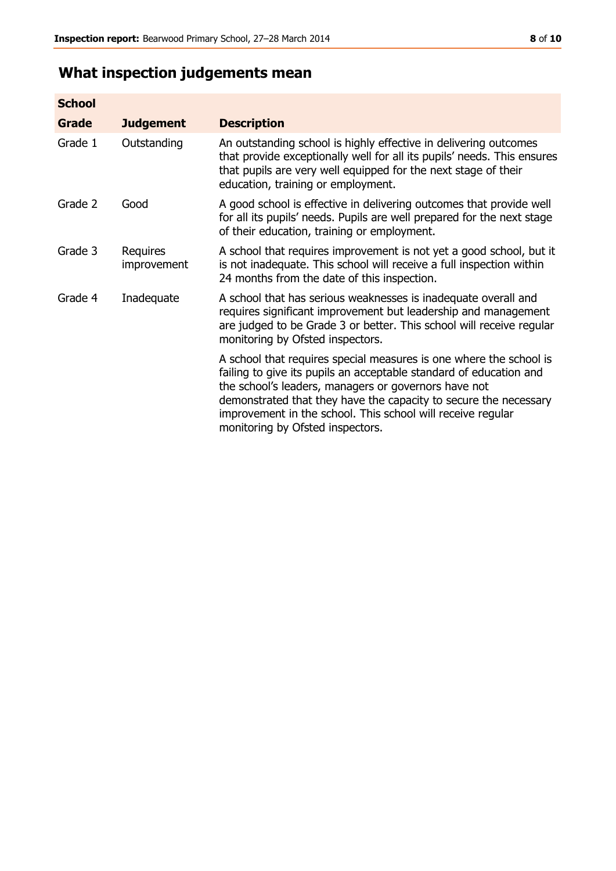## **What inspection judgements mean**

| <b>School</b> |                         |                                                                                                                                                                                                                                                                                                                                                                         |
|---------------|-------------------------|-------------------------------------------------------------------------------------------------------------------------------------------------------------------------------------------------------------------------------------------------------------------------------------------------------------------------------------------------------------------------|
| <b>Grade</b>  | <b>Judgement</b>        | <b>Description</b>                                                                                                                                                                                                                                                                                                                                                      |
| Grade 1       | Outstanding             | An outstanding school is highly effective in delivering outcomes<br>that provide exceptionally well for all its pupils' needs. This ensures<br>that pupils are very well equipped for the next stage of their<br>education, training or employment.                                                                                                                     |
| Grade 2       | Good                    | A good school is effective in delivering outcomes that provide well<br>for all its pupils' needs. Pupils are well prepared for the next stage<br>of their education, training or employment.                                                                                                                                                                            |
| Grade 3       | Requires<br>improvement | A school that requires improvement is not yet a good school, but it<br>is not inadequate. This school will receive a full inspection within<br>24 months from the date of this inspection.                                                                                                                                                                              |
| Grade 4       | Inadequate              | A school that has serious weaknesses is inadequate overall and<br>requires significant improvement but leadership and management<br>are judged to be Grade 3 or better. This school will receive regular<br>monitoring by Ofsted inspectors.                                                                                                                            |
|               |                         | A school that requires special measures is one where the school is<br>failing to give its pupils an acceptable standard of education and<br>the school's leaders, managers or governors have not<br>demonstrated that they have the capacity to secure the necessary<br>improvement in the school. This school will receive regular<br>monitoring by Ofsted inspectors. |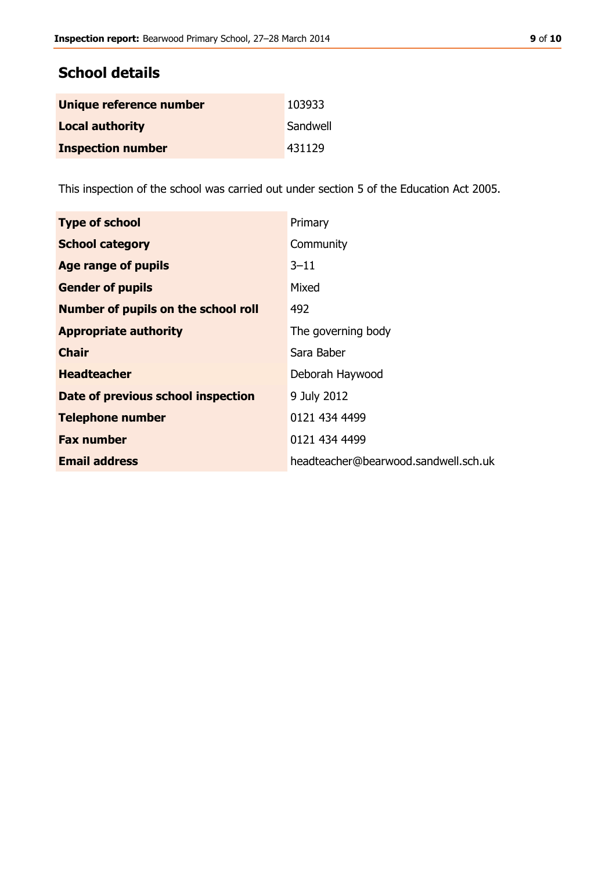| Unique reference number  | 103933   |
|--------------------------|----------|
| <b>Local authority</b>   | Sandwell |
| <b>Inspection number</b> | 431129   |

This inspection of the school was carried out under section 5 of the Education Act 2005.

| <b>Type of school</b>                      | Primary                              |
|--------------------------------------------|--------------------------------------|
| <b>School category</b>                     | Community                            |
| Age range of pupils                        | $3 - 11$                             |
| <b>Gender of pupils</b>                    | Mixed                                |
| <b>Number of pupils on the school roll</b> | 492                                  |
| <b>Appropriate authority</b>               | The governing body                   |
| <b>Chair</b>                               | Sara Baber                           |
| <b>Headteacher</b>                         | Deborah Haywood                      |
| Date of previous school inspection         | 9 July 2012                          |
| <b>Telephone number</b>                    | 0121 434 4499                        |
| <b>Fax number</b>                          | 0121 434 4499                        |
| <b>Email address</b>                       | headteacher@bearwood.sandwell.sch.uk |